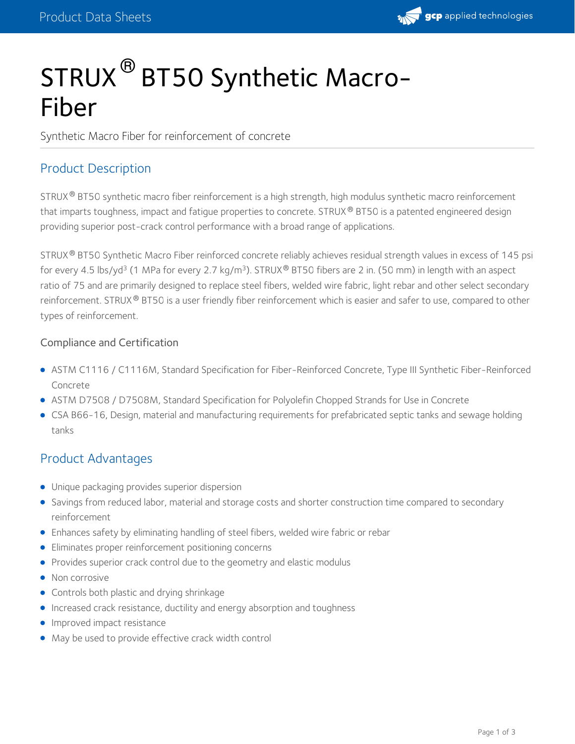

# STRUX<sup>®</sup> BT50 Synthetic Macro-Fiber

Synthetic Macro Fiber for reinforcement of concrete

## Product Description

 ${\sf STRUX}$ ® <code>BT50</code> synthetic macro fiber reinforcement is a high strength, high modulus synthetic macro reinforcement that imparts toughness, impact and fatigue properties to concrete. STRUX® BT50 is a patented engineered design providing superior post-crack control performance with a broad range of applications.

STRUX® BT50 Synthetic Macro Fiber reinforced concrete reliably achieves residual strength values in excess of 145 psi for every 4.5 lbs/yd<sup>3</sup> (1 MPa for every 2.7 kg/m<sup>3</sup>). STRUX® BT50 fibers are 2 in. (50 mm) in length with an aspect ratio of 75 and are primarily designed to replace steel fibers, welded wire fabric, light rebar and other select secondary reinforcement. STRUX® BT50 is a user friendly fiber reinforcement which is easier and safer to use, compared to other types of reinforcement.

#### Compliance and Certification

- ASTM C1116 /C1116M, Standard Specification for Fiber-Reinforced Concrete, Type III Synthetic Fiber-Reinforced Concrete
- ASTM D7508 / D7508M, Standard Specification for Polyolefin Chopped Strands for Use in Concrete
- CSA B66-16, Design, material and manufacturing requirements for prefabricated septic tanks and sewage holding tanks

## Product Advantages

- Unique packaging provides superior dispersion
- Savings from reduced labor, material and storage costs and shorter construction time compared to secondary reinforcement
- Enhances safety by eliminating handling of steel fibers, welded wire fabric or rebar
- Eliminates proper reinforcement positioning concerns
- Provides superior crack control due to the geometry and elastic modulus
- Non corrosive
- **•** Controls both plastic and drying shrinkage
- **Increased crack resistance, ductility and energy absorption and toughness**
- **Improved impact resistance**
- May be used to provide effective crack width control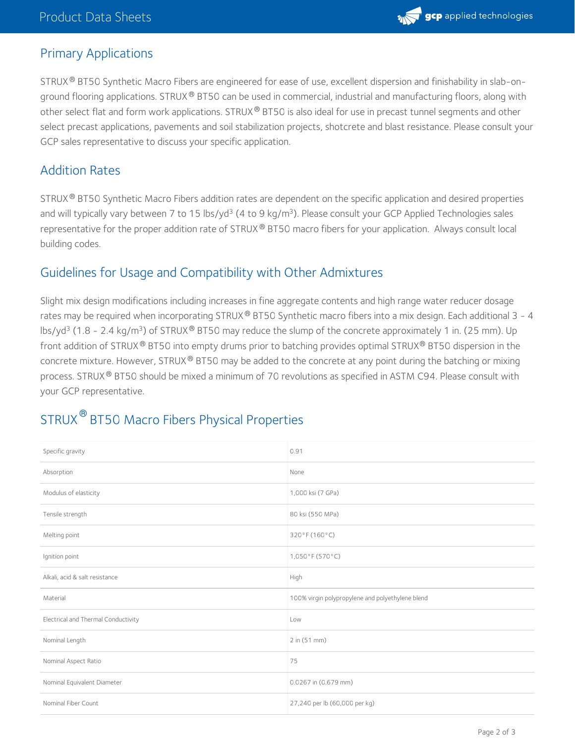

## Primary Applications

STRUX® BT50 Synthetic Macro Fibers are engineered for ease of use, excellent dispersion and finishability in slab-onground flooring applications. STRUX  $^\circ$  BT50 can be used in commercial, industrial and manufacturing floors, along with other select flat and form work applications. STRUX  $^\circ$  BT50 is also ideal for use in precast tunnel segments and other select precast applications, pavements and soil stabilization projects, shotcrete and blast resistance. Please consult your GCP sales representative to discuss your specific application.

## Addition Rates

STRUX® BT50 Synthetic Macro Fibers addition rates are dependent on the specific application and desired properties and will typically vary between 7 to 15 lbs/yd<sup>3</sup> (4 to 9 kg/m<sup>3</sup>). Please consult your GCP Applied Technologies sales representative for the proper addition rate of STRUX® BT50 macro fibers for your application. Always consult local building codes.

## Guidelines for Usage and Compatibility with Other Admixtures

Slight mix design modifications including increases in fine aggregate contents and high range water reducer dosage rates may be required when incorporating STRUX® BT50 Synthetic macro fibers into a mix design. Each additional 3 - 4 lbs/yd<sup>3</sup> (1.8 - 2.4 kg/m<sup>3</sup>) of STRUX® BT50 may reduce the slump of the concrete approximately 1 in. (25 mm). Up front addition of STRUX® BT50 into empty drums prior to batching provides optimal STRUX® BT50 dispersion in the concrete mixture. However, STRUX  $^\circ$  BT50 may be added to the concrete at any point during the batching or mixing process. STRUX® BT50 should be mixed a minimum of 70 revolutions as specified in ASTM C94. Please consult with your GCP representative.

# STRUX  $^\circledR$  BT50 Macro Fibers Physical Properties

| Specific gravity                    | 0.91                                             |
|-------------------------------------|--------------------------------------------------|
| Absorption                          | None                                             |
| Modulus of elasticity               | 1,000 ksi (7 GPa)                                |
| Tensile strength                    | 80 ksi (550 MPa)                                 |
| Melting point                       | 320°F (160°C)                                    |
| Ignition point                      | 1,050°F (570°C)                                  |
| Alkali, acid & salt resistance      | High                                             |
| Material                            | 100% virgin polypropylene and polyethylene blend |
| Electrical and Thermal Conductivity | Low                                              |
| Nominal Length                      | 2 in (51 mm)                                     |
| Nominal Aspect Ratio                | 75                                               |
| Nominal Equivalent Diameter         | 0.0267 in (0.679 mm)                             |
| Nominal Fiber Count                 | 27,240 per lb (60,000 per kg)                    |